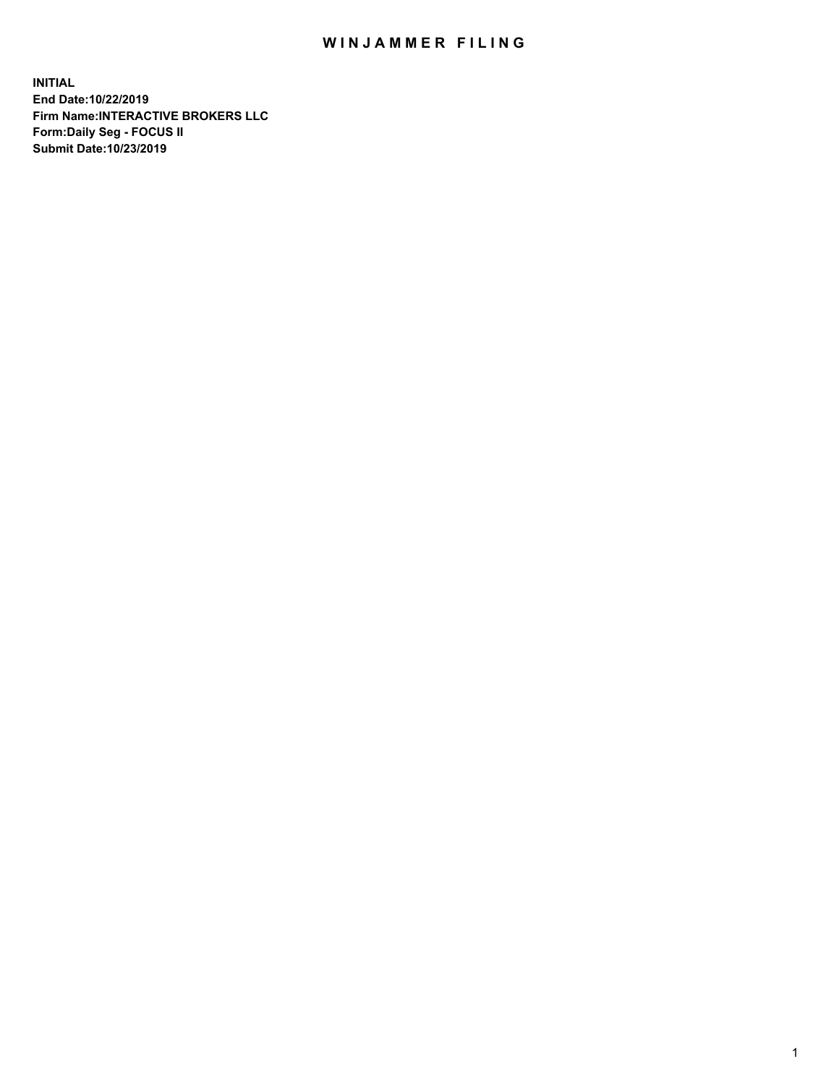## WIN JAMMER FILING

**INITIAL End Date:10/22/2019 Firm Name:INTERACTIVE BROKERS LLC Form:Daily Seg - FOCUS II Submit Date:10/23/2019**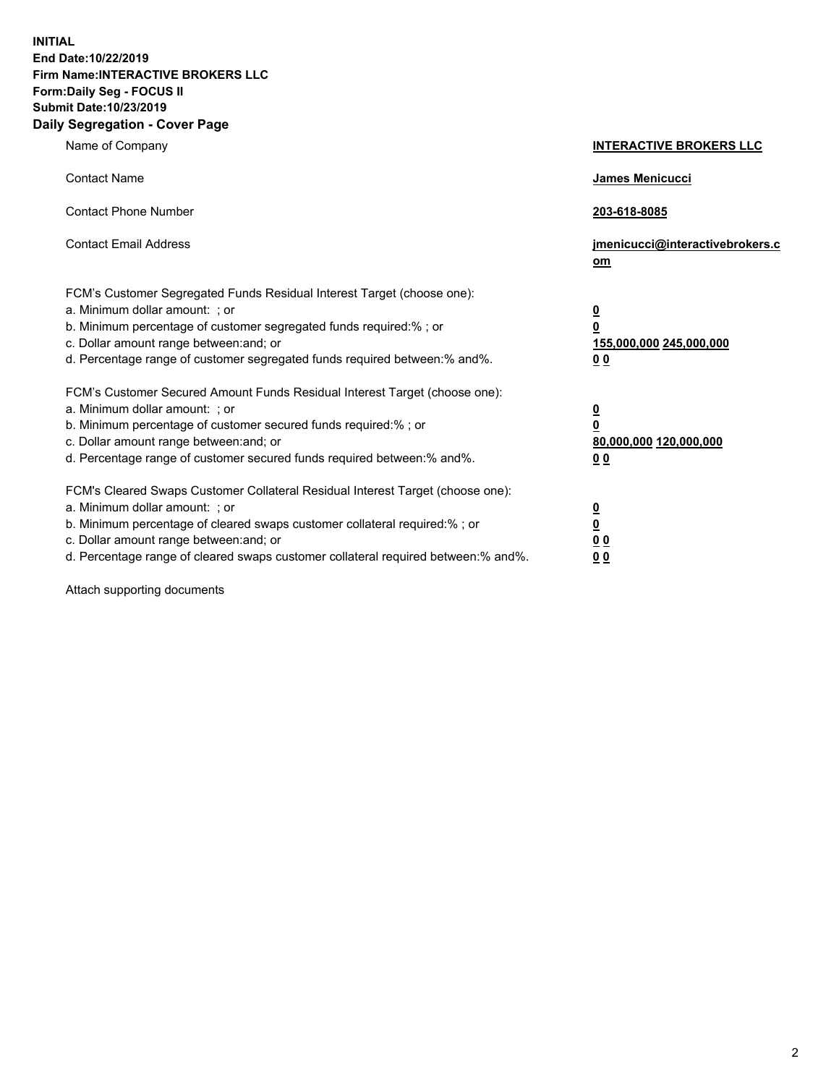**INITIAL End Date:10/22/2019 Firm Name:INTERACTIVE BROKERS LLC Form:Daily Seg - FOCUS II Submit Date:10/23/2019 Daily Segregation - Cover Page**

| Name of Company                                                                                                                                                                                                                                                                                                                | <b>INTERACTIVE BROKERS LLC</b>                                                                  |
|--------------------------------------------------------------------------------------------------------------------------------------------------------------------------------------------------------------------------------------------------------------------------------------------------------------------------------|-------------------------------------------------------------------------------------------------|
| <b>Contact Name</b>                                                                                                                                                                                                                                                                                                            | James Menicucci                                                                                 |
| <b>Contact Phone Number</b>                                                                                                                                                                                                                                                                                                    | 203-618-8085                                                                                    |
| <b>Contact Email Address</b>                                                                                                                                                                                                                                                                                                   | jmenicucci@interactivebrokers.c<br>om                                                           |
| FCM's Customer Segregated Funds Residual Interest Target (choose one):<br>a. Minimum dollar amount: ; or<br>b. Minimum percentage of customer segregated funds required:% ; or<br>c. Dollar amount range between: and; or<br>d. Percentage range of customer segregated funds required between:% and%.                         | $\overline{\mathbf{0}}$<br>$\overline{\mathbf{0}}$<br>155,000,000 245,000,000<br>0 <sub>0</sub> |
| FCM's Customer Secured Amount Funds Residual Interest Target (choose one):<br>a. Minimum dollar amount: ; or<br>b. Minimum percentage of customer secured funds required:%; or<br>c. Dollar amount range between: and; or<br>d. Percentage range of customer secured funds required between:% and%.                            | $\overline{\mathbf{0}}$<br>$\overline{\mathbf{0}}$<br>80,000,000 120,000,000<br>0 <sub>0</sub>  |
| FCM's Cleared Swaps Customer Collateral Residual Interest Target (choose one):<br>a. Minimum dollar amount: ; or<br>b. Minimum percentage of cleared swaps customer collateral required:% ; or<br>c. Dollar amount range between: and; or<br>d. Percentage range of cleared swaps customer collateral required between:% and%. | $\overline{\mathbf{0}}$<br>$\underline{\mathbf{0}}$<br>0 <sub>0</sub><br>0 <sub>0</sub>         |

Attach supporting documents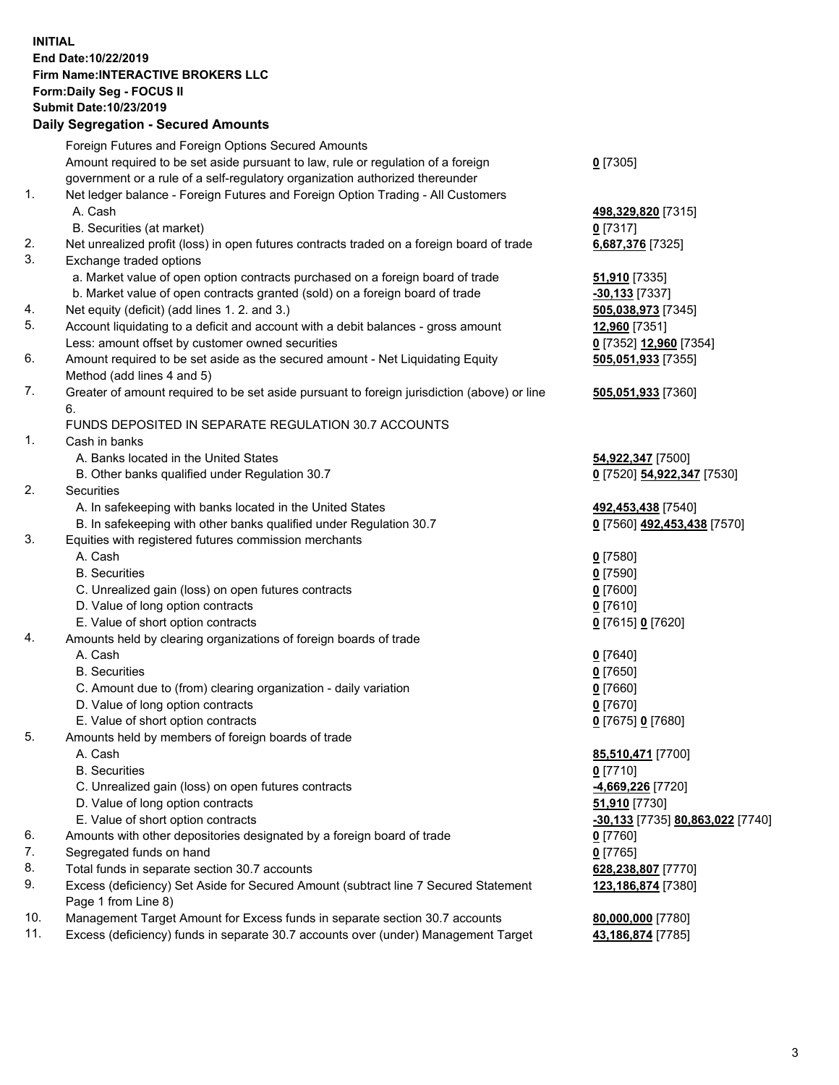## **INITIAL End Date:10/22/2019 Firm Name:INTERACTIVE BROKERS LLC Form:Daily Seg - FOCUS II Submit Date:10/23/2019 Daily Segregation - Secured Amounts**

|     | Daily Jegiegation - Jeculed Aniounts                                                                       |                                  |
|-----|------------------------------------------------------------------------------------------------------------|----------------------------------|
|     | Foreign Futures and Foreign Options Secured Amounts                                                        |                                  |
|     | Amount required to be set aside pursuant to law, rule or regulation of a foreign                           | $0$ [7305]                       |
|     | government or a rule of a self-regulatory organization authorized thereunder                               |                                  |
| 1.  | Net ledger balance - Foreign Futures and Foreign Option Trading - All Customers                            |                                  |
|     | A. Cash                                                                                                    | 498,329,820 [7315]               |
|     | B. Securities (at market)                                                                                  | $0$ [7317]                       |
| 2.  | Net unrealized profit (loss) in open futures contracts traded on a foreign board of trade                  | 6,687,376 [7325]                 |
| 3.  | Exchange traded options                                                                                    |                                  |
|     | a. Market value of open option contracts purchased on a foreign board of trade                             | <b>51,910</b> [7335]             |
|     | b. Market value of open contracts granted (sold) on a foreign board of trade                               | $-30,133$ [7337]                 |
| 4.  | Net equity (deficit) (add lines 1. 2. and 3.)                                                              | 505,038,973 [7345]               |
| 5.  | Account liquidating to a deficit and account with a debit balances - gross amount                          | 12,960 [7351]                    |
|     | Less: amount offset by customer owned securities                                                           | 0 [7352] 12,960 [7354]           |
| 6.  | Amount required to be set aside as the secured amount - Net Liquidating Equity                             | 505,051,933 [7355]               |
| 7.  | Method (add lines 4 and 5)                                                                                 |                                  |
|     | Greater of amount required to be set aside pursuant to foreign jurisdiction (above) or line<br>6.          | 505,051,933 [7360]               |
|     | FUNDS DEPOSITED IN SEPARATE REGULATION 30.7 ACCOUNTS                                                       |                                  |
| 1.  | Cash in banks                                                                                              |                                  |
|     | A. Banks located in the United States                                                                      | 54,922,347 [7500]                |
|     | B. Other banks qualified under Regulation 30.7                                                             | 0 [7520] 54,922,347 [7530]       |
| 2.  | Securities                                                                                                 |                                  |
|     | A. In safekeeping with banks located in the United States                                                  | 492,453,438 [7540]               |
|     | B. In safekeeping with other banks qualified under Regulation 30.7                                         | 0 [7560] 492,453,438 [7570]      |
| 3.  | Equities with registered futures commission merchants                                                      |                                  |
|     | A. Cash                                                                                                    | $0$ [7580]                       |
|     | <b>B.</b> Securities                                                                                       | $0$ [7590]                       |
|     | C. Unrealized gain (loss) on open futures contracts                                                        | $0$ [7600]                       |
|     | D. Value of long option contracts                                                                          | $0$ [7610]                       |
|     | E. Value of short option contracts                                                                         | 0 [7615] 0 [7620]                |
| 4.  | Amounts held by clearing organizations of foreign boards of trade                                          |                                  |
|     | A. Cash                                                                                                    | $0$ [7640]                       |
|     | <b>B.</b> Securities                                                                                       | $0$ [7650]                       |
|     | C. Amount due to (from) clearing organization - daily variation                                            | $0$ [7660]                       |
|     | D. Value of long option contracts                                                                          | 0 [7670]                         |
|     | E. Value of short option contracts                                                                         | 0 [7675] 0 [7680]                |
| 5.  | Amounts held by members of foreign boards of trade                                                         |                                  |
|     | A. Cash                                                                                                    | 85,510,471 [7700]                |
|     | <b>B.</b> Securities                                                                                       | $0$ [7710]                       |
|     | C. Unrealized gain (loss) on open futures contracts                                                        | -4,669,226 [7720]                |
|     | D. Value of long option contracts                                                                          | 51,910 [7730]                    |
|     | E. Value of short option contracts                                                                         | -30,133 [7735] 80,863,022 [7740] |
| 6.  | Amounts with other depositories designated by a foreign board of trade                                     | 0 [7760]                         |
| 7.  | Segregated funds on hand                                                                                   | $0$ [7765]                       |
| 8.  | Total funds in separate section 30.7 accounts                                                              | 628,238,807 [7770]               |
| 9.  | Excess (deficiency) Set Aside for Secured Amount (subtract line 7 Secured Statement<br>Page 1 from Line 8) | 123,186,874 [7380]               |
| 10. | Management Target Amount for Excess funds in separate section 30.7 accounts                                | 80,000,000 [7780]                |
| 11. | Excess (deficiency) funds in separate 30.7 accounts over (under) Management Target                         | 43,186,874 [7785]                |
|     |                                                                                                            |                                  |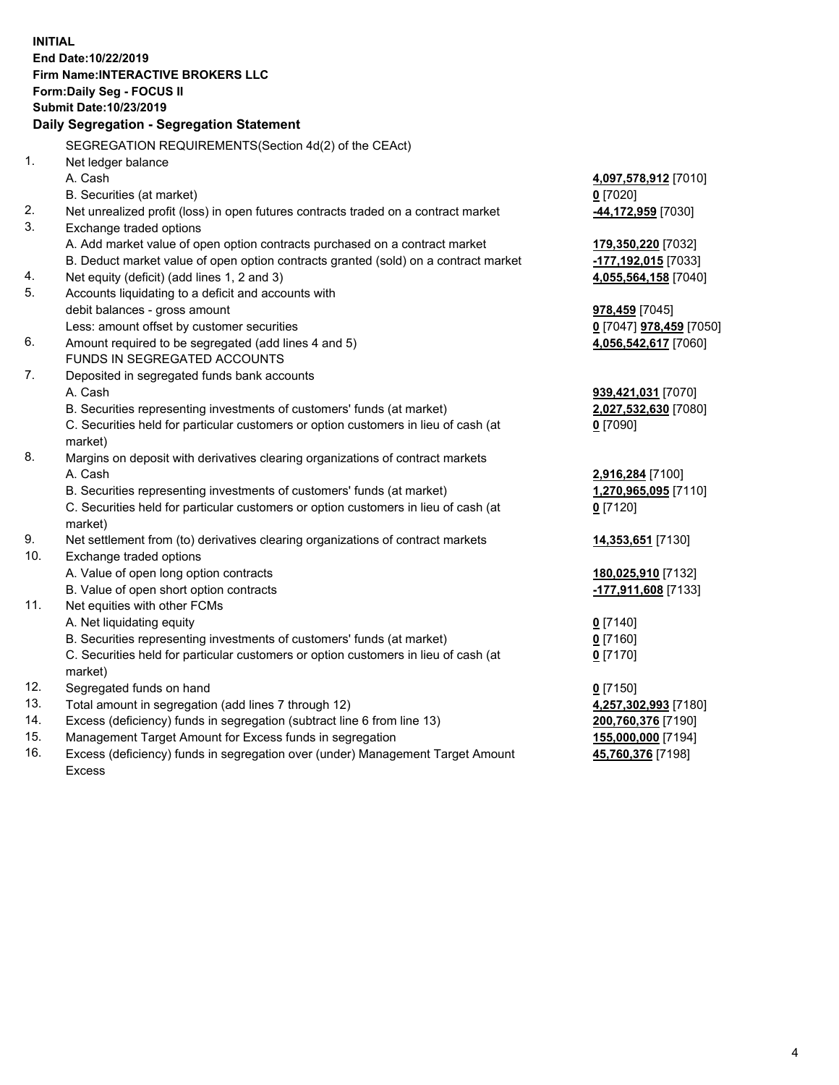**INITIAL End Date:10/22/2019 Firm Name:INTERACTIVE BROKERS LLC Form:Daily Seg - FOCUS II Submit Date:10/23/2019 Daily Segregation - Segregation Statement** SEGREGATION REQUIREMENTS(Section 4d(2) of the CEAct) 1. Net ledger balance A. Cash **4,097,578,912** [7010] B. Securities (at market) **0** [7020] 2. Net unrealized profit (loss) in open futures contracts traded on a contract market **-44,172,959** [7030] 3. Exchange traded options A. Add market value of open option contracts purchased on a contract market **179,350,220** [7032] B. Deduct market value of open option contracts granted (sold) on a contract market **-177,192,015** [7033] 4. Net equity (deficit) (add lines 1, 2 and 3) **4,055,564,158** [7040] 5. Accounts liquidating to a deficit and accounts with debit balances - gross amount **978,459** [7045] Less: amount offset by customer securities **0** [7047] **978,459** [7050] 6. Amount required to be segregated (add lines 4 and 5) **4,056,542,617** [7060] FUNDS IN SEGREGATED ACCOUNTS 7. Deposited in segregated funds bank accounts A. Cash **939,421,031** [7070] B. Securities representing investments of customers' funds (at market) **2,027,532,630** [7080] C. Securities held for particular customers or option customers in lieu of cash (at market) **0** [7090] 8. Margins on deposit with derivatives clearing organizations of contract markets A. Cash **2,916,284** [7100] B. Securities representing investments of customers' funds (at market) **1,270,965,095** [7110] C. Securities held for particular customers or option customers in lieu of cash (at market) **0** [7120] 9. Net settlement from (to) derivatives clearing organizations of contract markets **14,353,651** [7130] 10. Exchange traded options A. Value of open long option contracts **180,025,910** [7132] B. Value of open short option contracts **-177,911,608** [7133] 11. Net equities with other FCMs A. Net liquidating equity **0** [7140] B. Securities representing investments of customers' funds (at market) **0** [7160] C. Securities held for particular customers or option customers in lieu of cash (at market) **0** [7170] 12. Segregated funds on hand **0** [7150] 13. Total amount in segregation (add lines 7 through 12) **4,257,302,993** [7180] 14. Excess (deficiency) funds in segregation (subtract line 6 from line 13) **200,760,376** [7190] 15. Management Target Amount for Excess funds in segregation **155,000,000** [7194] **45,760,376** [7198]

16. Excess (deficiency) funds in segregation over (under) Management Target Amount Excess